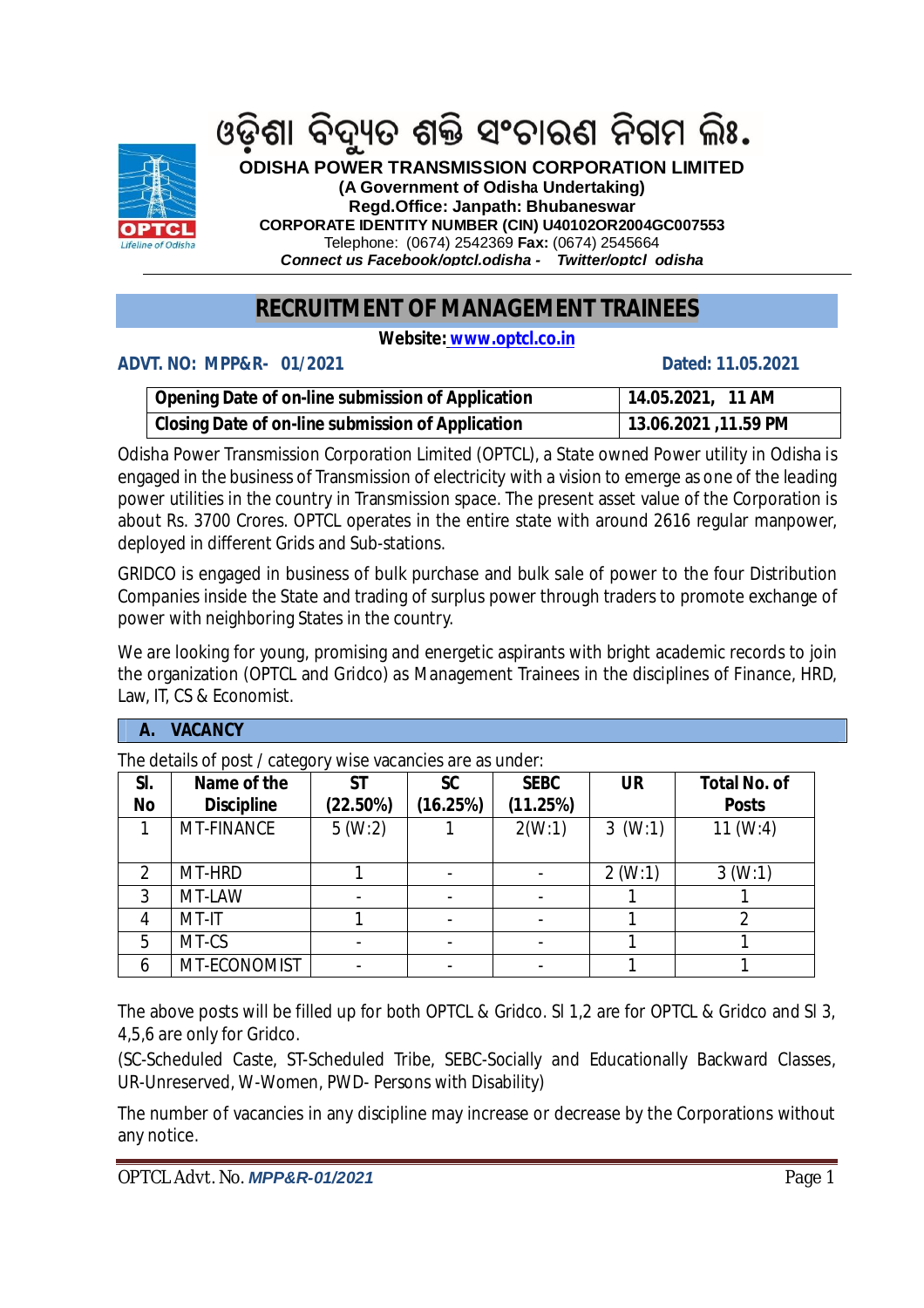

ଓଡ଼ିଶା ବିଦ୍ୟୁତ ଶକ୍ତି ସଂଚାରଣ ନିଗମ ଲିଃ.

**ODISHA POWER TRANSMISSION CORPORATION LIMITED**

**(A Government of Odisha Undertaking)**

**Regd.Office: Janpath: Bhubaneswar CORPORATE IDENTITY NUMBER (CIN) U40102OR2004GC007553**

Telephone: (0674) 2542369 **Fax:** (0674) 2545664

*Connect us Facebook/optcl.odisha - Twitter/optcl\_odisha*

# **RECRUITMENT OF MANAGEMENT TRAINEES**

**Website: www.optcl.co.in**

## **ADVT. NO: MPP&R- 01/2021 Dated: 11.05.2021**

| <b>Opening Date of on-line submission of Application</b> | 14.05.2021, 11 AM    |
|----------------------------------------------------------|----------------------|
| Closing Date of on-line submission of Application        | 13.06.2021 ,11.59 PM |

Odisha Power Transmission Corporation Limited (OPTCL), a State owned Power utility in Odisha is engaged in the business of Transmission of electricity with a vision to emerge as one of the leading power utilities in the country in Transmission space. The present asset value of the Corporation is about Rs. 3700 Crores. OPTCL operates in the entire state with around 2616 regular manpower, deployed in different Grids and Sub-stations.

GRIDCO is engaged in business of bulk purchase and bulk sale of power to the four Distribution Companies inside the State and trading of surplus power through traders to promote exchange of power with neighboring States in the country.

İ We are looking for young, promising and energetic aspirants with bright academic records to join the organization (OPTCL and Gridco) as Management Trainees in the disciplines of Finance, HRD, Law, IT, CS & Economist.

#### **A. VACANCY**

The details of post / category wise vacancies are as under:

| SI.       | ັ<br>Name of the  | <b>ST</b> | <b>SC</b> | <b>SEBC</b> | <b>UR</b> | <b>Total No. of</b> |
|-----------|-------------------|-----------|-----------|-------------|-----------|---------------------|
| <b>No</b> | <b>Discipline</b> | (22.50%)  | (16.25%)  | (11.25%)    |           | <b>Posts</b>        |
|           | MT-FINANCE        | 5(W:2)    |           | 2(W:1)      | 3(W:1)    | 11 (W:4)            |
|           |                   |           |           |             |           |                     |
|           | MT-HRD            |           |           |             | 2(W:1)    | 3(W:1)              |
| 3         | MT-LAW            |           |           |             |           |                     |
| 4         | MT-IT             |           |           |             |           |                     |
| 5         | MT-CS             |           |           |             |           |                     |
| 6         | MT-ECONOMIST      |           |           |             |           |                     |

The above posts will be filled up for both OPTCL & Gridco. Sl 1,2 are for OPTCL & Gridco and Sl 3, 4,5,6 are only for Gridco.

(SC-Scheduled Caste, ST-Scheduled Tribe, SEBC-Socially and Educationally Backward Classes, UR-Unreserved, W-Women, PWD- Persons with Disability)

The number of vacancies in any discipline may increase or decrease by the Corporations without any notice.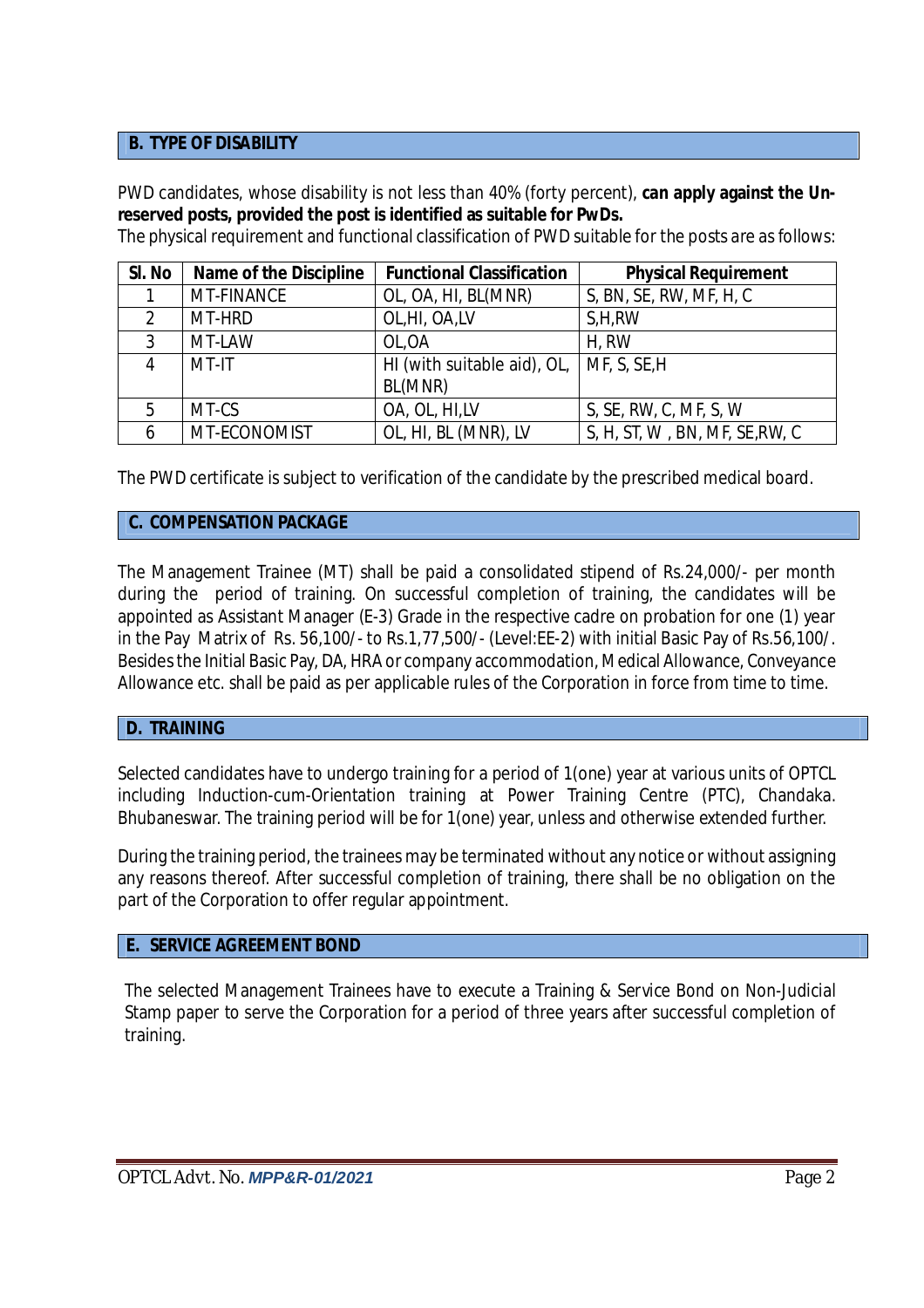#### **B. TYPE OF DISABILITY**

PWD candidates, whose disability is not less than 40% (forty percent), **can apply against the Unreserved posts, provided the post is identified as suitable for PwDs.**

The physical requirement and functional classification of PWD suitable for the posts are as follows:

| SI. No | <b>Name of the Discipline</b> | <b>Functional Classification</b> | <b>Physical Requirement</b>    |
|--------|-------------------------------|----------------------------------|--------------------------------|
|        | <b>MT-FINANCE</b>             | OL, OA, HI, BL(MNR)              | S, BN, SE, RW, MF, H, C        |
| 2      | MT-HRD                        | OL, HI, OA, LV                   | S,H,RW                         |
| 3      | MT-LAW                        | OL, OA                           | H, RW                          |
| 4      | MT-IT                         | HI (with suitable aid), OL,      | MF, S, SE, H                   |
|        |                               | BL(MNR)                          |                                |
| 5      | MT-CS                         | OA, OL, HI,LV                    | S, SE, RW, C, MF, S, W         |
| 6      | MT-ECONOMIST                  | OL, HI, BL (MNR), LV             | S, H, ST, W, BN, MF, SE, RW, C |

The PWD certificate is subject to verification of the candidate by the prescribed medical board.

#### **C. COMPENSATION PACKAGE**

The Management Trainee (MT) shall be paid a consolidated stipend of Rs.24,000/- per month during the period of training. On successful completion of training, the candidates will be appointed as Assistant Manager (E-3) Grade in the respective cadre on probation for one (1) year in the Pay Matrix of Rs. 56,100/- to Rs.1,77,500/- (Level:EE-2) with initial Basic Pay of Rs.56,100/. Besides the Initial Basic Pay, DA, HRA or company accommodation, Medical Allowance, Conveyance Allowance etc. shall be paid as per applicable rules of the Corporation in force from time to time.

#### **D. TRAINING**

Selected candidates have to undergo training for a period of 1(one) year at various units of OPTCL including Induction-cum-Orientation training at Power Training Centre (PTC), Chandaka. Bhubaneswar. The training period will be for 1(one) year, unless and otherwise extended further.

During the training period, the trainees may be terminated without any notice or without assigning any reasons thereof. After successful completion of training, there shall be no obligation on the part of the Corporation to offer regular appointment.

#### **E. SERVICE AGREEMENT BOND**

The selected Management Trainees have to execute a Training & Service Bond on Non-Judicial Stamp paper to serve the Corporation for a period of three years after successful completion of training.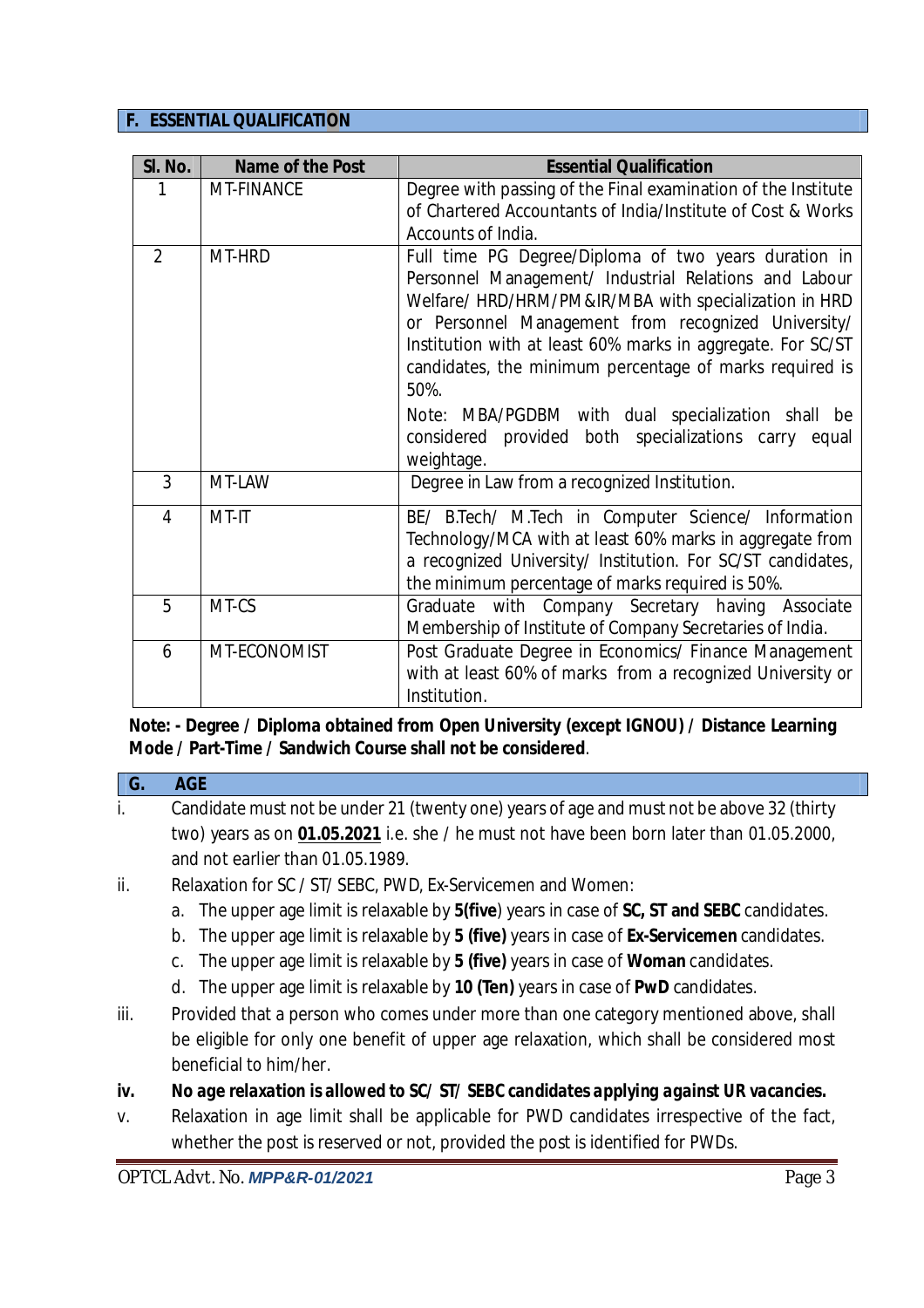#### **F. ESSENTIAL QUALIFICATION**

| SI. No.        | Name of the Post | <b>Essential Qualification</b>                                                                                                                                                                                                                                                                                                                                                                                                                                                             |  |
|----------------|------------------|--------------------------------------------------------------------------------------------------------------------------------------------------------------------------------------------------------------------------------------------------------------------------------------------------------------------------------------------------------------------------------------------------------------------------------------------------------------------------------------------|--|
|                | MT-FINANCE       | Degree with passing of the Final examination of the Institute<br>of Chartered Accountants of India/Institute of Cost & Works<br>Accounts of India.                                                                                                                                                                                                                                                                                                                                         |  |
| $\overline{2}$ | MT-HRD           | Full time PG Degree/Diploma of two years duration in<br>Personnel Management/ Industrial Relations and Labour<br>Welfare/ HRD/HRM/PM&IR/MBA with specialization in HRD<br>or Personnel Management from recognized University/<br>Institution with at least 60% marks in aggregate. For SC/ST<br>candidates, the minimum percentage of marks required is<br>50%.<br>Note: MBA/PGDBM with dual specialization shall be<br>considered provided both specializations carry equal<br>weightage. |  |
| 3              | MT-LAW           | Degree in Law from a recognized Institution.                                                                                                                                                                                                                                                                                                                                                                                                                                               |  |
| 4              | MT-IT            | BE/ B.Tech/ M.Tech in Computer Science/ Information<br>Technology/MCA with at least 60% marks in aggregate from<br>a recognized University/ Institution. For SC/ST candidates,<br>the minimum percentage of marks required is 50%.                                                                                                                                                                                                                                                         |  |
| 5              | MT-CS            | Graduate with Company Secretary having Associate<br>Membership of Institute of Company Secretaries of India.                                                                                                                                                                                                                                                                                                                                                                               |  |
| 6              | MT-ECONOMIST     | Post Graduate Degree in Economics/ Finance Management<br>with at least 60% of marks from a recognized University or<br>Institution.                                                                                                                                                                                                                                                                                                                                                        |  |

## **Note: - Degree / Diploma obtained from Open University (except IGNOU) / Distance Learning Mode / Part-Time / Sandwich Course shall not be considered**.

## **G. AGE** i. Candidate must not be under 21 (twenty one) years of age and must not be above 32 (thirty two) years as on **01.05.2021** i.e. she / he must not have been born later than 01.05.2000, and not earlier than 01.05.1989.

- ii. Relaxation for SC / ST/ SEBC, PWD, Ex-Servicemen and Women:
	- a. The upper age limit is relaxable by **5(five**) years in case of **SC, ST and SEBC** candidates.
	- b. The upper age limit is relaxable by **5 (five)** years in case of **Ex-Servicemen** candidates.
	- c. The upper age limit is relaxable by **5 (five)** years in case of **Woman** candidates.
	- d. The upper age limit is relaxable by **10 (Ten)** years in case of **PwD** candidates.
- iii. Provided that a person who comes under more than one category mentioned above, shall be eligible for only one benefit of upper age relaxation, which shall be considered most beneficial to him/her.
- *iv. No age relaxation is allowed to SC/ ST/ SEBC candidates applying against UR vacancies.*
- *v.* Relaxation in age limit shall be applicable for PWD candidates irrespective of the fact, whether the post is reserved or not, provided the post is identified for PWDs.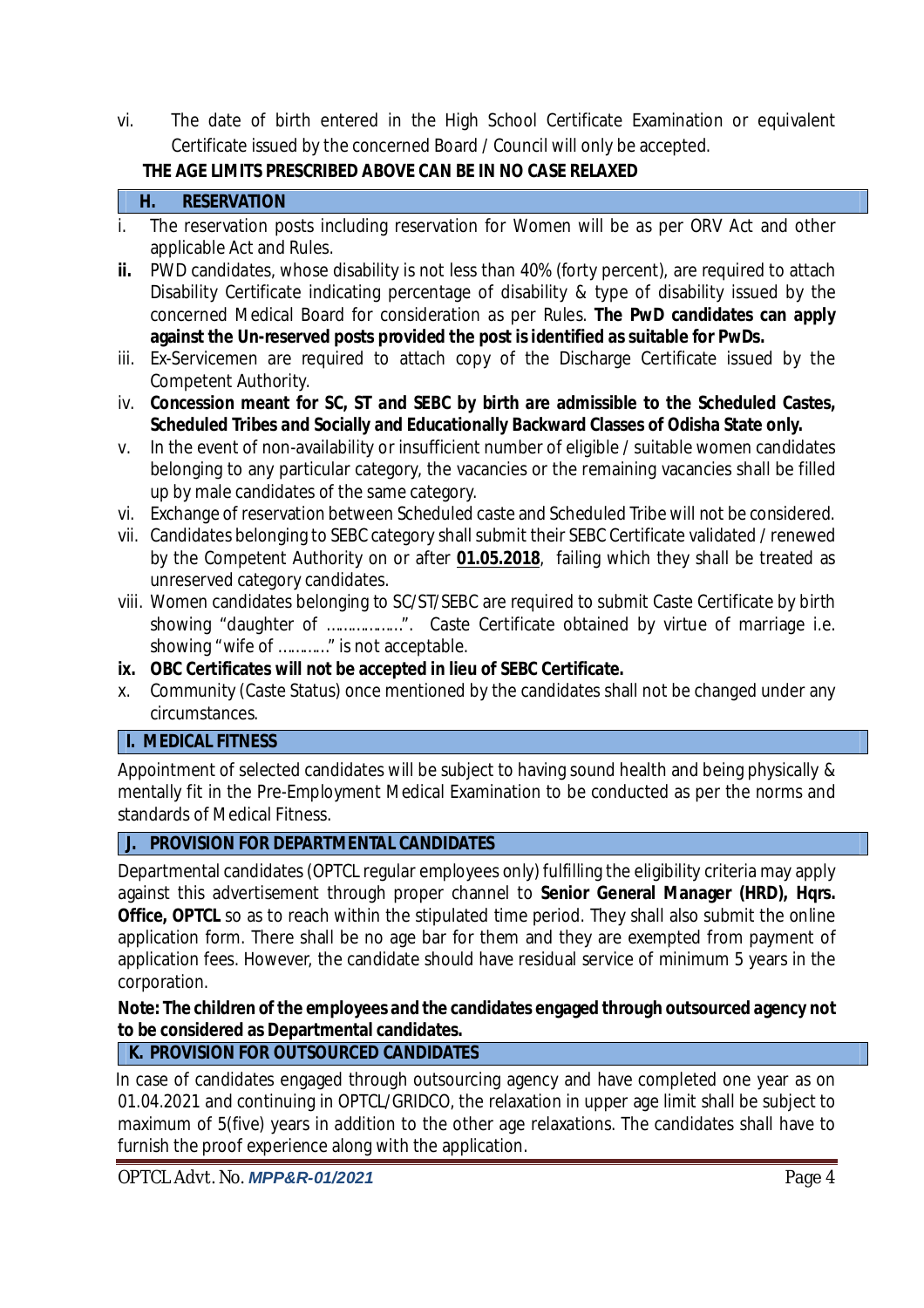vi. The date of birth entered in the High School Certificate Examination or equivalent Certificate issued by the concerned Board / Council will only be accepted.

# **THE AGE LIMITS PRESCRIBED ABOVE CAN BE IN NO CASE RELAXED**

## **H. RESERVATION**

- i. The reservation posts including reservation for Women will be as per ORV Act and other applicable Act and Rules.
- ii. PWD candidates, whose disability is not less than 40% (forty percent), are required to attach Disability Certificate indicating percentage of disability & type of disability issued by the concerned Medical Board for consideration as per Rules. **The PwD candidates can apply against the Un-reserved posts provided the post is identified as suitable for PwDs.**
- iii. Ex-Servicemen are required to attach copy of the Discharge Certificate issued by the Competent Authority.
- iv. **Concession meant for SC, ST and SEBC by birth are admissible to the Scheduled Castes, Scheduled Tribes and Socially and Educationally Backward Classes of Odisha State only.**
- v. In the event of non-availability or insufficient number of eligible / suitable women candidates belonging to any particular category, the vacancies or the remaining vacancies shall be filled up by male candidates of the same category.
- vi. Exchange of reservation between Scheduled caste and Scheduled Tribe will not be considered.
- vii. Candidates belonging to SEBC category shall submit their SEBC Certificate validated / renewed by the Competent Authority on or after **01.05.2018**, failing which they shall be treated as unreserved category candidates.
- viii. Women candidates belonging to SC/ST/SEBC are required to submit Caste Certificate by birth showing "daughter of ...................". Caste Certificate obtained by virtue of marriage i.e. showing "wife of …………" is not acceptable.
- **ix. OBC Certificates will not be accepted in lieu of SEBC Certificate.**
- x. Community (Caste Status) once mentioned by the candidates shall not be changed under any circumstances.

## **I. MEDICAL FITNESS**

Appointment of selected candidates will be subject to having sound health and being physically & mentally fit in the Pre-Employment Medical Examination to be conducted as per the norms and standards of Medical Fitness.

## **J. PROVISION FOR DEPARTMENTAL CANDIDATES**

Departmental candidates (OPTCL regular employees only) fulfilling the eligibility criteria may apply against this advertisement through proper channel to **Senior General Manager (HRD), Hqrs. Office, OPTCL** so as to reach within the stipulated time period. They shall also submit the online application form. There shall be no age bar for them and they are exempted from payment of application fees. However, the candidate should have residual service of minimum 5 years in the corporation.

## **Note: The children of the employees and the candidates engaged through outsourced agency not to be considered as Departmental candidates.**

# **K. PROVISION FOR OUTSOURCED CANDIDATES**

In case of candidates engaged through outsourcing agency and have completed one year as on 01.04.2021 and continuing in OPTCL/GRIDCO, the relaxation in upper age limit shall be subject to maximum of 5(five) years in addition to the other age relaxations. The candidates shall have to furnish the proof experience along with the application.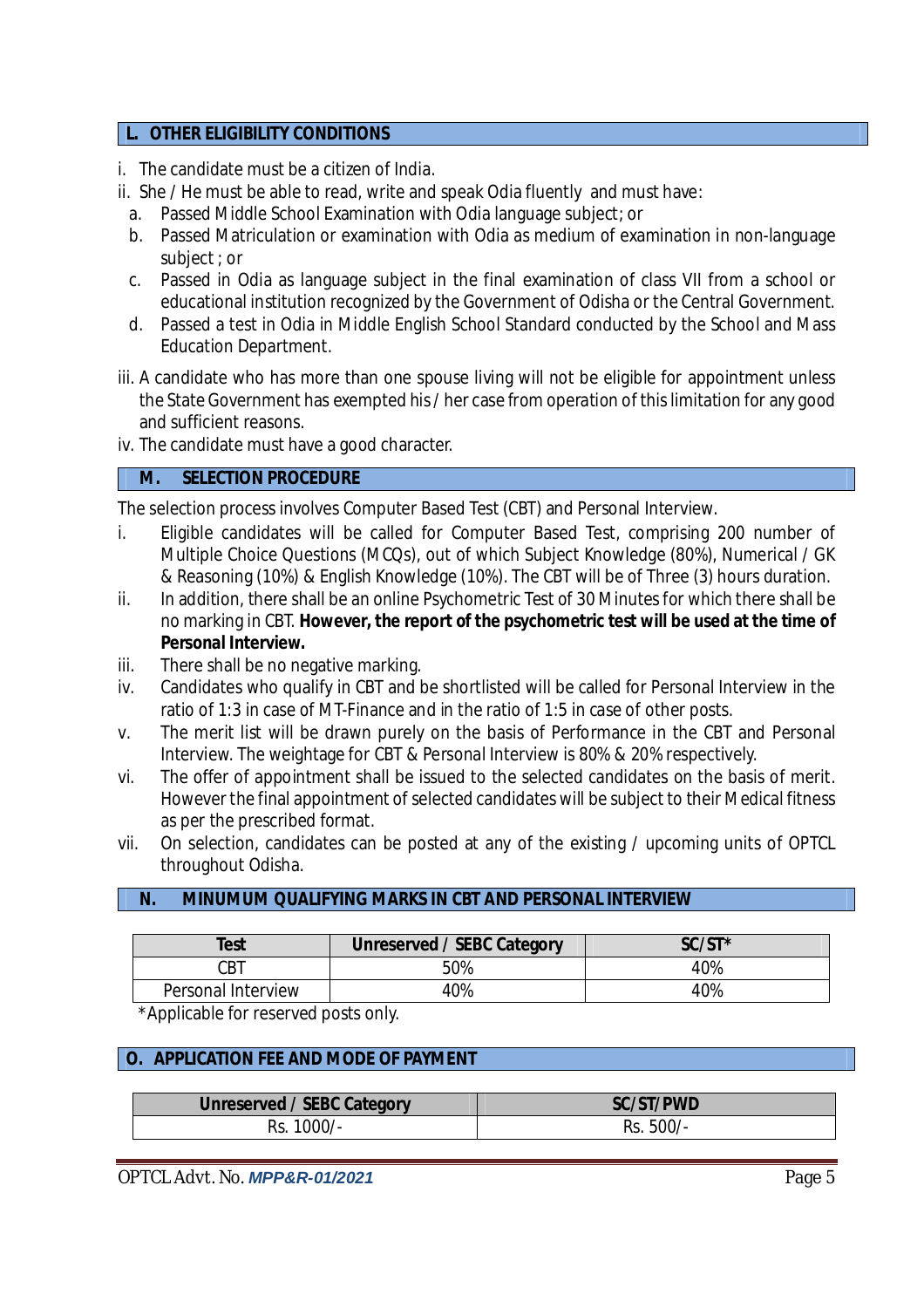#### **L. OTHER ELIGIBILITY CONDITIONS**

- i. The candidate must be a citizen of India.
- ii. She / He must be able to read, write and speak Odia fluently and must have:
	- a. Passed Middle School Examination with Odia language subject; or
	- b. Passed Matriculation or examination with Odia as medium of examination in non-language subject ; or
	- c. Passed in Odia as language subject in the final examination of class VII from a school or educational institution recognized by the Government of Odisha or the Central Government.
	- d. Passed a test in Odia in Middle English School Standard conducted by the School and Mass Education Department.
- iii. A candidate who has more than one spouse living will not be eligible for appointment unless the State Government has exempted his / her case from operation of this limitation for any good and sufficient reasons.
- iv. The candidate must have a good character.

#### **M. SELECTION PROCEDURE**

The selection process involves Computer Based Test (CBT) and Personal Interview.

- i. Eligible candidates will be called for Computer Based Test, comprising 200 number of Multiple Choice Questions (MCQs), out of which Subject Knowledge (80%), Numerical / GK & Reasoning (10%) & English Knowledge (10%). The CBT will be of Three (3) hours duration.
- ii. In addition, there shall be an online Psychometric Test of 30 Minutes for which there shall be no marking in CBT. **However, the report of the psychometric test will be used at the time of Personal Interview.**
- iii. There shall be no negative marking.
- iv. Candidates who qualify in CBT and be shortlisted will be called for Personal Interview in the ratio of 1:3 in case of MT-Finance and in the ratio of 1:5 in case of other posts.
- v. The merit list will be drawn purely on the basis of Performance in the CBT and Personal Interview. The weightage for CBT & Personal Interview is 80% & 20% respectively.
- vi. The offer of appointment shall be issued to the selected candidates on the basis of merit. However the final appointment of selected candidates will be subject to their Medical fitness as per the prescribed format.
- vii. On selection, candidates can be posted at any of the existing / upcoming units of OPTCL throughout Odisha.

#### **N. MINUMUM QUALIFYING MARKS IN CBT AND PERSONAL INTERVIEW**

| Test               | <b>Unreserved / SEBC Category</b> | $SC/ST^*$ |
|--------------------|-----------------------------------|-----------|
| CBT.               | 50%                               | 40%       |
| Personal Interview | $0\%$                             | 40%       |

\*Applicable for reserved posts only.

#### **O. APPLICATION FEE AND MODE OF PAYMENT**

| <b>Unreserved / SEBC Category</b> | <b>SC/ST/PWD</b> |
|-----------------------------------|------------------|
| $1000/-$                          | 500/             |
| Rs.                               | Rs.              |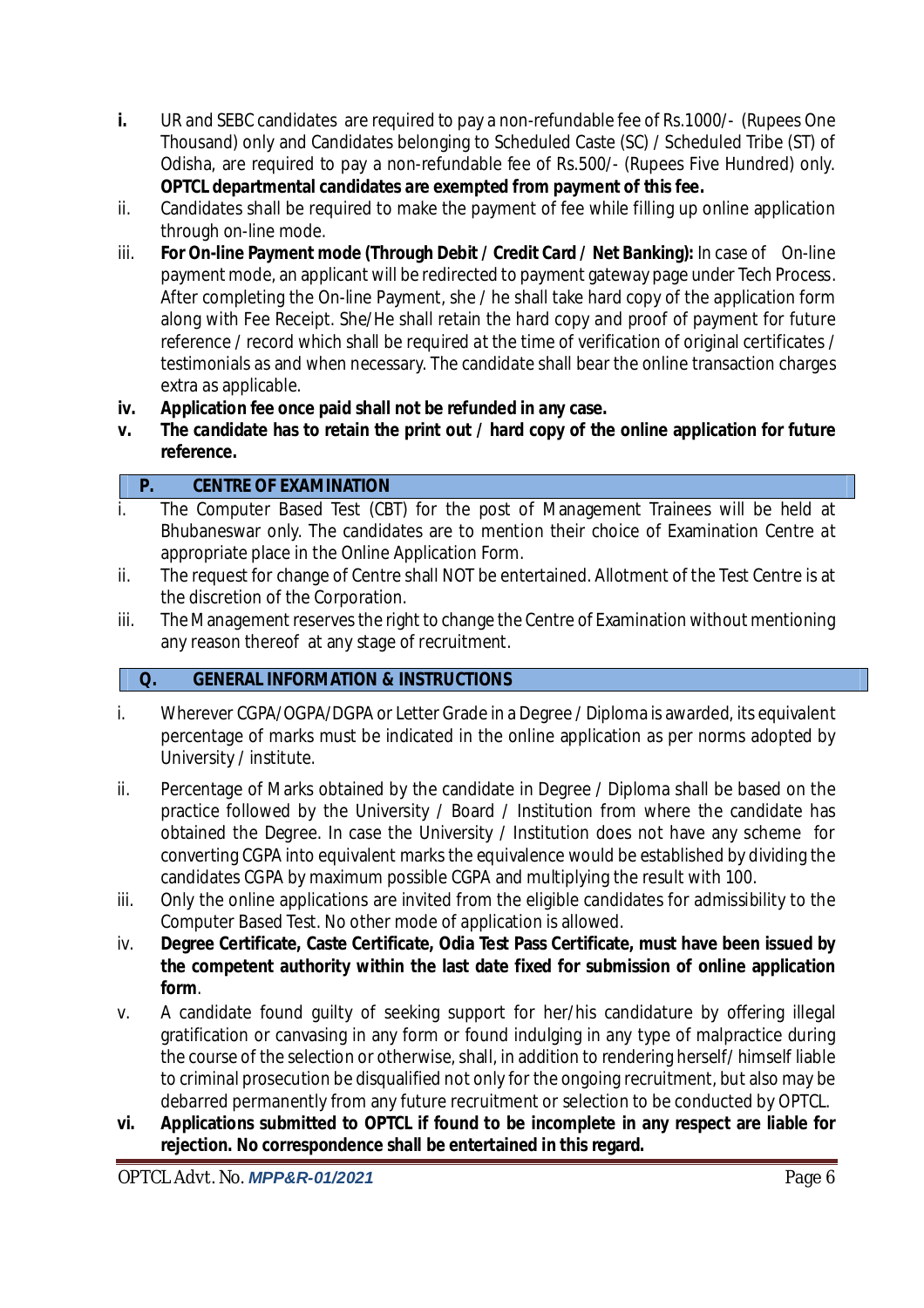- **i.** UR and SEBC candidates are required to pay a non-refundable fee of Rs.1000/- (Rupees One Thousand) only and Candidates belonging to Scheduled Caste (SC) / Scheduled Tribe (ST) of Odisha, are required to pay a non-refundable fee of Rs.500/- (Rupees Five Hundred) only. **OPTCL departmental candidates are exempted from payment of this fee.**
- ii. Candidates shall be required to make the payment of fee while filling up online application through on-line mode.
- iii. **For On-line Payment mode (Through Debit / Credit Card / Net Banking):** In case of On-line payment mode, an applicant will be redirected to payment gateway page under Tech Process. After completing the On-line Payment, she / he shall take hard copy of the application form along with Fee Receipt. She/He shall retain the hard copy and proof of payment for future reference / record which shall be required at the time of verification of original certificates / testimonials as and when necessary. The candidate shall bear the online transaction charges extra as applicable.
- **iv. Application fee once paid shall not be refunded in any case.**
- **v. The candidate has to retain the print out / hard copy of the online application for future reference.**

# **P. CENTRE OF EXAMINATION**

- i. The Computer Based Test (CBT) for the post of Management Trainees will be held at Bhubaneswar only. The candidates are to mention their choice of Examination Centre at appropriate place in the Online Application Form.
- ii. The request for change of Centre shall NOT be entertained. Allotment of the Test Centre is at the discretion of the Corporation.
- iii. The Management reserves the right to change the Centre of Examination without mentioning any reason thereof at any stage of recruitment.

# **Q. GENERAL INFORMATION & INSTRUCTIONS**

- i. Wherever CGPA/OGPA/DGPA or Letter Grade in a Degree / Diploma is awarded, its equivalent percentage of marks must be indicated in the online application as per norms adopted by University / institute.
- ii. Percentage of Marks obtained by the candidate in Degree / Diploma shall be based on the practice followed by the University / Board / Institution from where the candidate has obtained the Degree. In case the University / Institution does not have any scheme for converting CGPA into equivalent marks the equivalence would be established by dividing the candidates CGPA by maximum possible CGPA and multiplying the result with 100.
- iii. Only the online applications are invited from the eligible candidates for admissibility to the Computer Based Test. No other mode of application is allowed.
- iv. **Degree Certificate, Caste Certificate, Odia Test Pass Certificate, must have been issued by the competent authority within the last date fixed for submission of online application form**.
- v. A candidate found guilty of seeking support for her/his candidature by offering illegal gratification or canvasing in any form or found indulging in any type of malpractice during the course of the selection or otherwise, shall, in addition to rendering herself/ himself liable to criminal prosecution be disqualified not only for the ongoing recruitment, but also may be debarred permanently from any future recruitment or selection to be conducted by OPTCL.
- **vi. Applications submitted to OPTCL if found to be incomplete in any respect are liable for rejection. No correspondence shall be entertained in this regard.**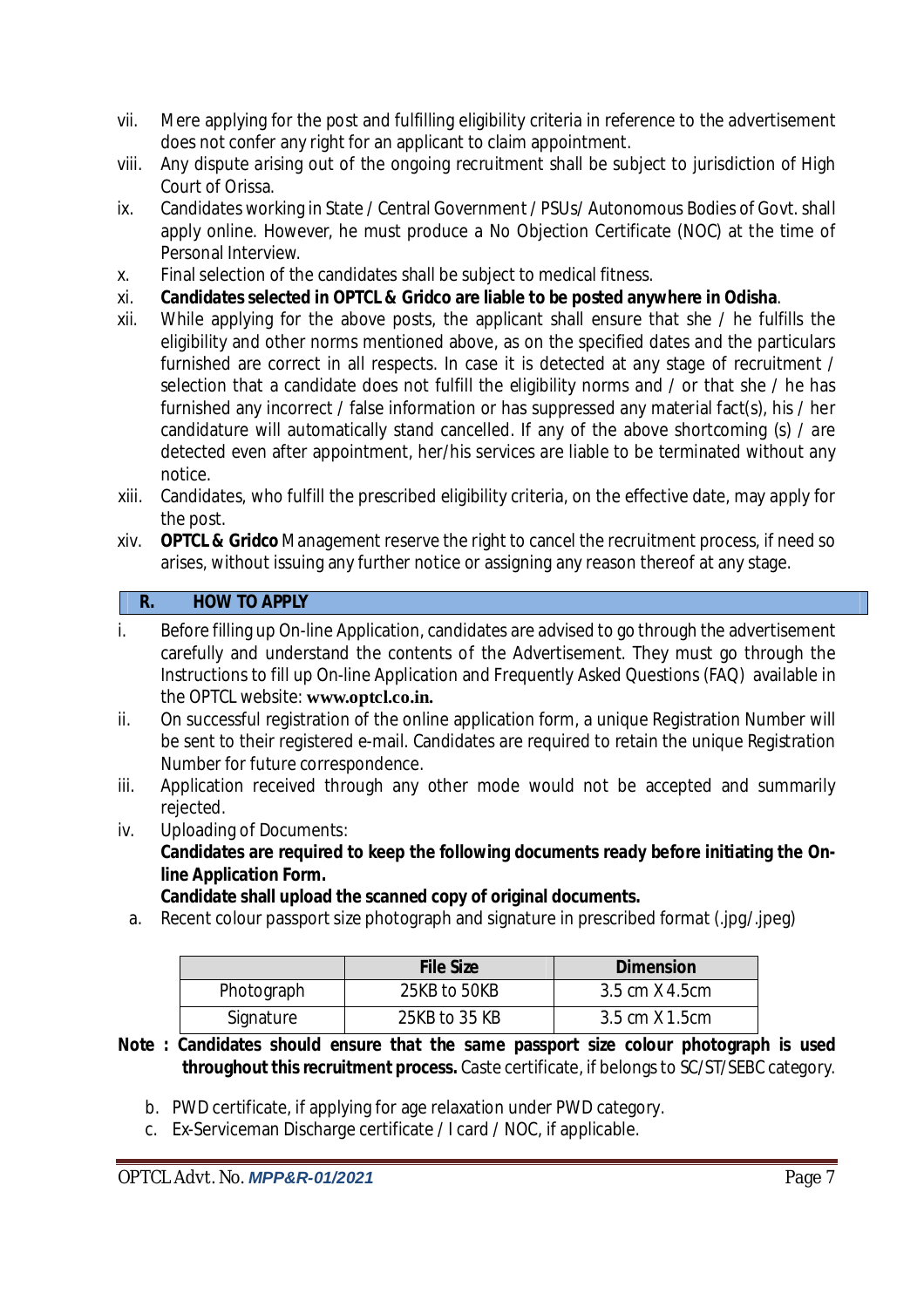- vii. Mere applying for the post and fulfilling eligibility criteria in reference to the advertisement does not confer any right for an applicant to claim appointment.
- viii. Any dispute arising out of the ongoing recruitment shall be subject to jurisdiction of High Court of Orissa.
- ix. Candidates working in State / Central Government / PSUs/ Autonomous Bodies of Govt. shall apply online. However, he must produce a No Objection Certificate (NOC) at the time of Personal Interview.
- x. Final selection of the candidates shall be subject to medical fitness.
- xi. **Candidates selected in OPTCL & Gridco are liable to be posted anywhere in Odisha**.
- xii. While applying for the above posts, the applicant shall ensure that she / he fulfills the eligibility and other norms mentioned above, as on the specified dates and the particulars furnished are correct in all respects. In case it is detected at any stage of recruitment / selection that a candidate does not fulfill the eligibility norms and / or that she / he has furnished any incorrect / false information or has suppressed any material fact(s), his / her candidature will automatically stand cancelled. If any of the above shortcoming (s) / are detected even after appointment, her/his services are liable to be terminated without any notice.
- xiii. Candidates, who fulfill the prescribed eligibility criteria, on the effective date, may apply for the post.
- xiv. **OPTCL & Gridco** Management reserve the right to cancel the recruitment process, if need so arises, without issuing any further notice or assigning any reason thereof at any stage.

# **R. HOW TO APPLY**

- i. Before filling up On-line Application, candidates are advised to go through the advertisement carefully and understand the contents of the Advertisement. They must go through the Instructions to fill up On-line Application and Frequently Asked Questions (FAQ) available in the OPTCL website: **www.optcl.co.in.**
- ii. On successful registration of the online application form, a unique Registration Number will be sent to their registered e-mail. Candidates are required to retain the unique Registration Number for future correspondence.
- iii. Application received through any other mode would not be accepted and summarily rejected.
- iv. Uploading of Documents:

**Candidates are required to keep the following documents ready before initiating the Online Application Form.**

**Candidate shall upload the scanned copy of original documents.** 

a. Recent colour passport size photograph and signature in prescribed format (.jpg/.jpeg)

|            | <b>File Size</b> | <b>Dimension</b> |
|------------|------------------|------------------|
| Photograph | 25KB to 50KB     | 3.5 cm X 4.5 cm  |
| Signature  | 25KB to 35 KB    | 3.5 cm X 1.5 cm  |

- **Note : Candidates should ensure that the same passport size colour photograph is used throughout this recruitment process.** Caste certificate, if belongs to SC/ST/SEBC category.
	- b. PWD certificate, if applying for age relaxation under PWD category.
	- c. Ex-Serviceman Discharge certificate / I card / NOC, if applicable.